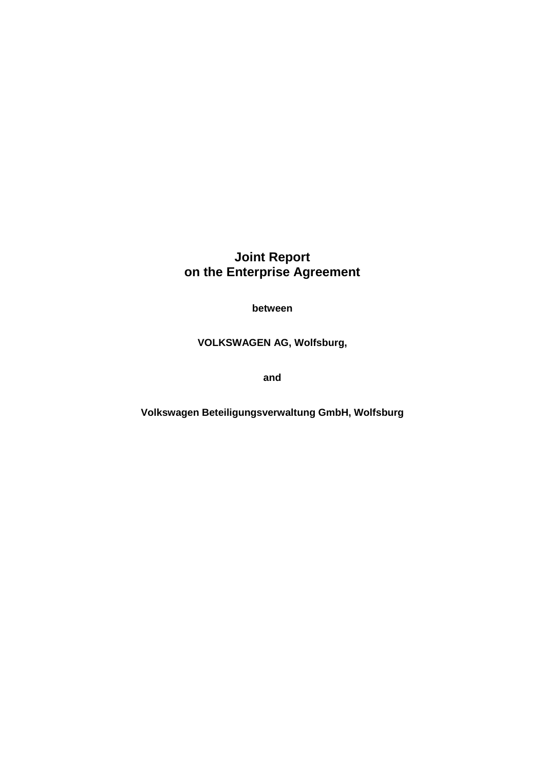# **Joint Report on the Enterprise Agreement**

**between** 

**VOLKSWAGEN AG, Wolfsburg,**

**and** 

**Volkswagen Beteiligungsverwaltung GmbH, Wolfsburg**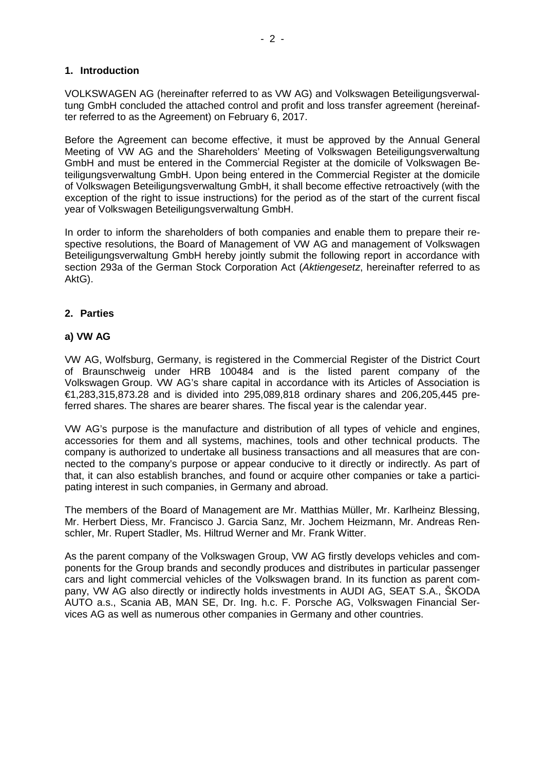## **1. Introduction**

VOLKSWAGEN AG (hereinafter referred to as VW AG) and Volkswagen Beteiligungsverwaltung GmbH concluded the attached control and profit and loss transfer agreement (hereinafter referred to as the Agreement) on February 6, 2017.

Before the Agreement can become effective, it must be approved by the Annual General Meeting of VW AG and the Shareholders' Meeting of Volkswagen Beteiligungsverwaltung GmbH and must be entered in the Commercial Register at the domicile of Volkswagen Beteiligungsverwaltung GmbH. Upon being entered in the Commercial Register at the domicile of Volkswagen Beteiligungsverwaltung GmbH, it shall become effective retroactively (with the exception of the right to issue instructions) for the period as of the start of the current fiscal year of Volkswagen Beteiligungsverwaltung GmbH.

In order to inform the shareholders of both companies and enable them to prepare their respective resolutions, the Board of Management of VW AG and management of Volkswagen Beteiligungsverwaltung GmbH hereby jointly submit the following report in accordance with section 293a of the German Stock Corporation Act (*Aktiengesetz*, hereinafter referred to as AktG).

# **2. Parties**

#### **a) VW AG**

VW AG, Wolfsburg, Germany, is registered in the Commercial Register of the District Court of Braunschweig under HRB 100484 and is the listed parent company of the Volkswagen Group. VW AG's share capital in accordance with its Articles of Association is €1,283,315,873.28 and is divided into 295,089,818 ordinary shares and 206,205,445 preferred shares. The shares are bearer shares. The fiscal year is the calendar year.

VW AG's purpose is the manufacture and distribution of all types of vehicle and engines, accessories for them and all systems, machines, tools and other technical products. The company is authorized to undertake all business transactions and all measures that are connected to the company's purpose or appear conducive to it directly or indirectly. As part of that, it can also establish branches, and found or acquire other companies or take a participating interest in such companies, in Germany and abroad.

The members of the Board of Management are Mr. Matthias Müller, Mr. Karlheinz Blessing, Mr. Herbert Diess, Mr. Francisco J. Garcia Sanz, Mr. Jochem Heizmann, Mr. Andreas Renschler, Mr. Rupert Stadler, Ms. Hiltrud Werner and Mr. Frank Witter.

As the parent company of the Volkswagen Group, VW AG firstly develops vehicles and components for the Group brands and secondly produces and distributes in particular passenger cars and light commercial vehicles of the Volkswagen brand. In its function as parent company, VW AG also directly or indirectly holds investments in AUDI AG, SEAT S.A., ŠKODA AUTO a.s., Scania AB, MAN SE, Dr. Ing. h.c. F. Porsche AG, Volkswagen Financial Services AG as well as numerous other companies in Germany and other countries.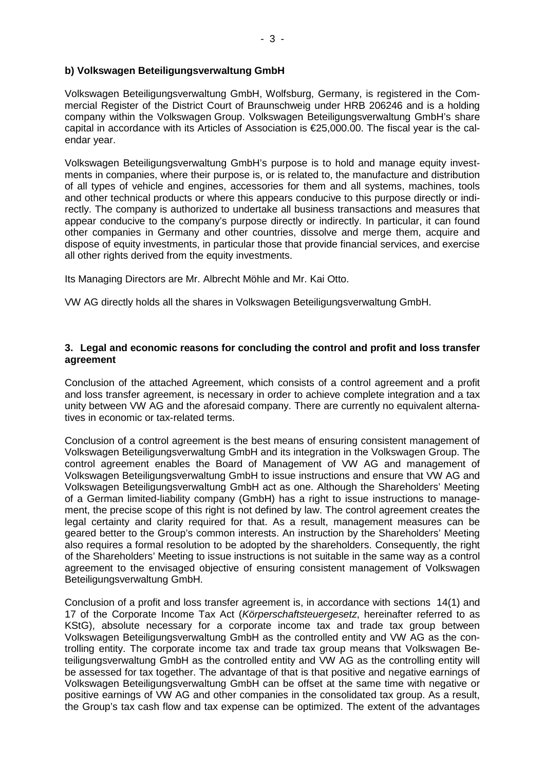## **b) Volkswagen Beteiligungsverwaltung GmbH**

Volkswagen Beteiligungsverwaltung GmbH, Wolfsburg, Germany, is registered in the Commercial Register of the District Court of Braunschweig under HRB 206246 and is a holding company within the Volkswagen Group. Volkswagen Beteiligungsverwaltung GmbH's share capital in accordance with its Articles of Association is €25,000.00. The fiscal year is the calendar year.

Volkswagen Beteiligungsverwaltung GmbH's purpose is to hold and manage equity investments in companies, where their purpose is, or is related to, the manufacture and distribution of all types of vehicle and engines, accessories for them and all systems, machines, tools and other technical products or where this appears conducive to this purpose directly or indirectly. The company is authorized to undertake all business transactions and measures that appear conducive to the company's purpose directly or indirectly. In particular, it can found other companies in Germany and other countries, dissolve and merge them, acquire and dispose of equity investments, in particular those that provide financial services, and exercise all other rights derived from the equity investments.

Its Managing Directors are Mr. Albrecht Möhle and Mr. Kai Otto.

VW AG directly holds all the shares in Volkswagen Beteiligungsverwaltung GmbH.

## **3. Legal and economic reasons for concluding the control and profit and loss transfer agreement**

Conclusion of the attached Agreement, which consists of a control agreement and a profit and loss transfer agreement, is necessary in order to achieve complete integration and a tax unity between VW AG and the aforesaid company. There are currently no equivalent alternatives in economic or tax-related terms.

Conclusion of a control agreement is the best means of ensuring consistent management of Volkswagen Beteiligungsverwaltung GmbH and its integration in the Volkswagen Group. The control agreement enables the Board of Management of VW AG and management of Volkswagen Beteiligungsverwaltung GmbH to issue instructions and ensure that VW AG and Volkswagen Beteiligungsverwaltung GmbH act as one. Although the Shareholders' Meeting of a German limited-liability company (GmbH) has a right to issue instructions to management, the precise scope of this right is not defined by law. The control agreement creates the legal certainty and clarity required for that. As a result, management measures can be geared better to the Group's common interests. An instruction by the Shareholders' Meeting also requires a formal resolution to be adopted by the shareholders. Consequently, the right of the Shareholders' Meeting to issue instructions is not suitable in the same way as a control agreement to the envisaged objective of ensuring consistent management of Volkswagen Beteiligungsverwaltung GmbH.

Conclusion of a profit and loss transfer agreement is, in accordance with sections 14(1) and 17 of the Corporate Income Tax Act (*Körperschaftsteuergesetz*, hereinafter referred to as KStG), absolute necessary for a corporate income tax and trade tax group between Volkswagen Beteiligungsverwaltung GmbH as the controlled entity and VW AG as the controlling entity. The corporate income tax and trade tax group means that Volkswagen Beteiligungsverwaltung GmbH as the controlled entity and VW AG as the controlling entity will be assessed for tax together. The advantage of that is that positive and negative earnings of Volkswagen Beteiligungsverwaltung GmbH can be offset at the same time with negative or positive earnings of VW AG and other companies in the consolidated tax group. As a result, the Group's tax cash flow and tax expense can be optimized. The extent of the advantages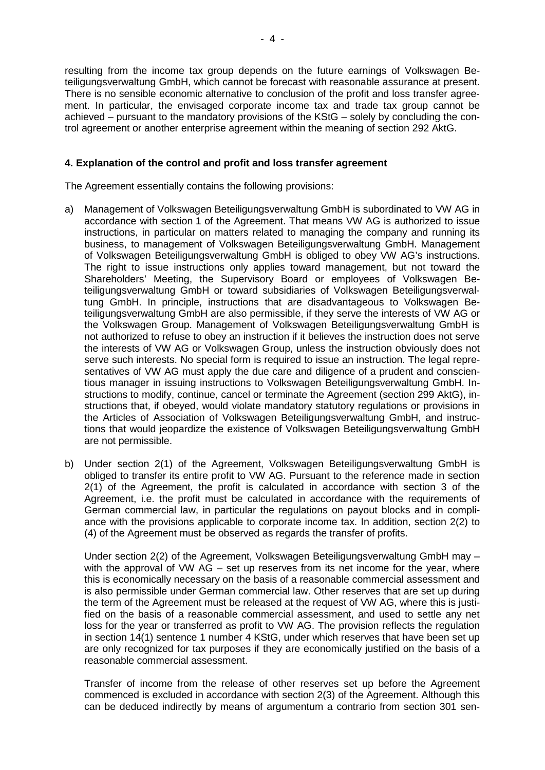resulting from the income tax group depends on the future earnings of Volkswagen Beteiligungsverwaltung GmbH, which cannot be forecast with reasonable assurance at present. There is no sensible economic alternative to conclusion of the profit and loss transfer agreement. In particular, the envisaged corporate income tax and trade tax group cannot be achieved – pursuant to the mandatory provisions of the KStG – solely by concluding the control agreement or another enterprise agreement within the meaning of section 292 AktG.

## **4. Explanation of the control and profit and loss transfer agreement**

The Agreement essentially contains the following provisions:

- a) Management of Volkswagen Beteiligungsverwaltung GmbH is subordinated to VW AG in accordance with section 1 of the Agreement. That means VW AG is authorized to issue instructions, in particular on matters related to managing the company and running its business, to management of Volkswagen Beteiligungsverwaltung GmbH. Management of Volkswagen Beteiligungsverwaltung GmbH is obliged to obey VW AG's instructions. The right to issue instructions only applies toward management, but not toward the Shareholders' Meeting, the Supervisory Board or employees of Volkswagen Beteiligungsverwaltung GmbH or toward subsidiaries of Volkswagen Beteiligungsverwaltung GmbH. In principle, instructions that are disadvantageous to Volkswagen Beteiligungsverwaltung GmbH are also permissible, if they serve the interests of VW AG or the Volkswagen Group. Management of Volkswagen Beteiligungsverwaltung GmbH is not authorized to refuse to obey an instruction if it believes the instruction does not serve the interests of VW AG or Volkswagen Group, unless the instruction obviously does not serve such interests. No special form is required to issue an instruction. The legal representatives of VW AG must apply the due care and diligence of a prudent and conscientious manager in issuing instructions to Volkswagen Beteiligungsverwaltung GmbH. Instructions to modify, continue, cancel or terminate the Agreement (section 299 AktG), instructions that, if obeyed, would violate mandatory statutory regulations or provisions in the Articles of Association of Volkswagen Beteiligungsverwaltung GmbH, and instructions that would jeopardize the existence of Volkswagen Beteiligungsverwaltung GmbH are not permissible.
- b) Under section 2(1) of the Agreement, Volkswagen Beteiligungsverwaltung GmbH is obliged to transfer its entire profit to VW AG. Pursuant to the reference made in section 2(1) of the Agreement, the profit is calculated in accordance with section 3 of the Agreement, i.e. the profit must be calculated in accordance with the requirements of German commercial law, in particular the regulations on payout blocks and in compliance with the provisions applicable to corporate income tax. In addition, section 2(2) to (4) of the Agreement must be observed as regards the transfer of profits.

Under section 2(2) of the Agreement, Volkswagen Beteiligungsverwaltung GmbH may – with the approval of VW AG – set up reserves from its net income for the year, where this is economically necessary on the basis of a reasonable commercial assessment and is also permissible under German commercial law. Other reserves that are set up during the term of the Agreement must be released at the request of VW AG, where this is justified on the basis of a reasonable commercial assessment, and used to settle any net loss for the year or transferred as profit to VW AG. The provision reflects the regulation in section 14(1) sentence 1 number 4 KStG, under which reserves that have been set up are only recognized for tax purposes if they are economically justified on the basis of a reasonable commercial assessment.

Transfer of income from the release of other reserves set up before the Agreement commenced is excluded in accordance with section 2(3) of the Agreement. Although this can be deduced indirectly by means of argumentum a contrario from section 301 sen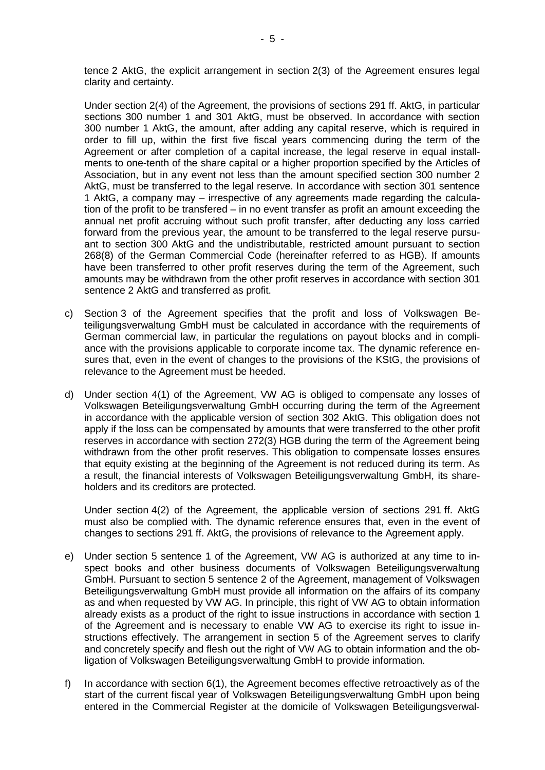tence 2 AktG, the explicit arrangement in section 2(3) of the Agreement ensures legal clarity and certainty.

Under section 2(4) of the Agreement, the provisions of sections 291 ff. AktG, in particular sections 300 number 1 and 301 AktG, must be observed. In accordance with section 300 number 1 AktG, the amount, after adding any capital reserve, which is required in order to fill up, within the first five fiscal years commencing during the term of the Agreement or after completion of a capital increase, the legal reserve in equal installments to one-tenth of the share capital or a higher proportion specified by the Articles of Association, but in any event not less than the amount specified section 300 number 2 AktG, must be transferred to the legal reserve. In accordance with section 301 sentence 1 AktG, a company may – irrespective of any agreements made regarding the calculation of the profit to be transfered – in no event transfer as profit an amount exceeding the annual net profit accruing without such profit transfer, after deducting any loss carried forward from the previous year, the amount to be transferred to the legal reserve pursuant to section 300 AktG and the undistributable, restricted amount pursuant to section 268(8) of the German Commercial Code (hereinafter referred to as HGB). If amounts have been transferred to other profit reserves during the term of the Agreement, such amounts may be withdrawn from the other profit reserves in accordance with section 301 sentence 2 AktG and transferred as profit.

- c) Section 3 of the Agreement specifies that the profit and loss of Volkswagen Beteiligungsverwaltung GmbH must be calculated in accordance with the requirements of German commercial law, in particular the regulations on payout blocks and in compliance with the provisions applicable to corporate income tax. The dynamic reference ensures that, even in the event of changes to the provisions of the KStG, the provisions of relevance to the Agreement must be heeded.
- d) Under section 4(1) of the Agreement, VW AG is obliged to compensate any losses of Volkswagen Beteiligungsverwaltung GmbH occurring during the term of the Agreement in accordance with the applicable version of section 302 AktG. This obligation does not apply if the loss can be compensated by amounts that were transferred to the other profit reserves in accordance with section 272(3) HGB during the term of the Agreement being withdrawn from the other profit reserves. This obligation to compensate losses ensures that equity existing at the beginning of the Agreement is not reduced during its term. As a result, the financial interests of Volkswagen Beteiligungsverwaltung GmbH, its shareholders and its creditors are protected.

Under section 4(2) of the Agreement, the applicable version of sections 291 ff. AktG must also be complied with. The dynamic reference ensures that, even in the event of changes to sections 291 ff. AktG, the provisions of relevance to the Agreement apply.

- e) Under section 5 sentence 1 of the Agreement, VW AG is authorized at any time to inspect books and other business documents of Volkswagen Beteiligungsverwaltung GmbH. Pursuant to section 5 sentence 2 of the Agreement, management of Volkswagen Beteiligungsverwaltung GmbH must provide all information on the affairs of its company as and when requested by VW AG. In principle, this right of VW AG to obtain information already exists as a product of the right to issue instructions in accordance with section 1 of the Agreement and is necessary to enable VW AG to exercise its right to issue instructions effectively. The arrangement in section 5 of the Agreement serves to clarify and concretely specify and flesh out the right of VW AG to obtain information and the obligation of Volkswagen Beteiligungsverwaltung GmbH to provide information.
- f) In accordance with section 6(1), the Agreement becomes effective retroactively as of the start of the current fiscal year of Volkswagen Beteiligungsverwaltung GmbH upon being entered in the Commercial Register at the domicile of Volkswagen Beteiligungsverwal-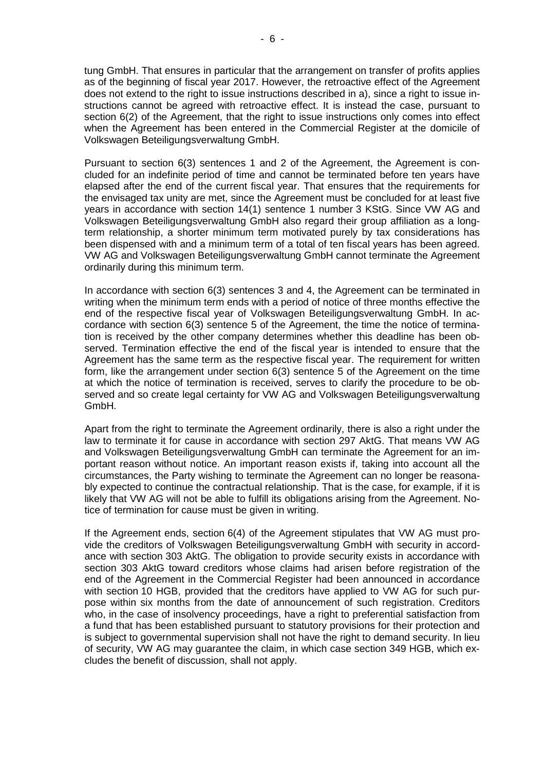tung GmbH. That ensures in particular that the arrangement on transfer of profits applies as of the beginning of fiscal year 2017. However, the retroactive effect of the Agreement does not extend to the right to issue instructions described in a), since a right to issue instructions cannot be agreed with retroactive effect. It is instead the case, pursuant to section 6(2) of the Agreement, that the right to issue instructions only comes into effect when the Agreement has been entered in the Commercial Register at the domicile of Volkswagen Beteiligungsverwaltung GmbH.

Pursuant to section 6(3) sentences 1 and 2 of the Agreement, the Agreement is concluded for an indefinite period of time and cannot be terminated before ten years have elapsed after the end of the current fiscal year. That ensures that the requirements for the envisaged tax unity are met, since the Agreement must be concluded for at least five years in accordance with section 14(1) sentence 1 number 3 KStG. Since VW AG and Volkswagen Beteiligungsverwaltung GmbH also regard their group affiliation as a longterm relationship, a shorter minimum term motivated purely by tax considerations has been dispensed with and a minimum term of a total of ten fiscal years has been agreed. VW AG and Volkswagen Beteiligungsverwaltung GmbH cannot terminate the Agreement ordinarily during this minimum term.

In accordance with section 6(3) sentences 3 and 4, the Agreement can be terminated in writing when the minimum term ends with a period of notice of three months effective the end of the respective fiscal year of Volkswagen Beteiligungsverwaltung GmbH. In accordance with section 6(3) sentence 5 of the Agreement, the time the notice of termination is received by the other company determines whether this deadline has been observed. Termination effective the end of the fiscal year is intended to ensure that the Agreement has the same term as the respective fiscal year. The requirement for written form, like the arrangement under section 6(3) sentence 5 of the Agreement on the time at which the notice of termination is received, serves to clarify the procedure to be observed and so create legal certainty for VW AG and Volkswagen Beteiligungsverwaltung GmbH.

Apart from the right to terminate the Agreement ordinarily, there is also a right under the law to terminate it for cause in accordance with section 297 AktG. That means VW AG and Volkswagen Beteiligungsverwaltung GmbH can terminate the Agreement for an important reason without notice. An important reason exists if, taking into account all the circumstances, the Party wishing to terminate the Agreement can no longer be reasonably expected to continue the contractual relationship. That is the case, for example, if it is likely that VW AG will not be able to fulfill its obligations arising from the Agreement. Notice of termination for cause must be given in writing.

If the Agreement ends, section 6(4) of the Agreement stipulates that VW AG must provide the creditors of Volkswagen Beteiligungsverwaltung GmbH with security in accordance with section 303 AktG. The obligation to provide security exists in accordance with section 303 AktG toward creditors whose claims had arisen before registration of the end of the Agreement in the Commercial Register had been announced in accordance with section 10 HGB, provided that the creditors have applied to VW AG for such purpose within six months from the date of announcement of such registration. Creditors who, in the case of insolvency proceedings, have a right to preferential satisfaction from a fund that has been established pursuant to statutory provisions for their protection and is subject to governmental supervision shall not have the right to demand security. In lieu of security, VW AG may guarantee the claim, in which case section 349 HGB, which excludes the benefit of discussion, shall not apply.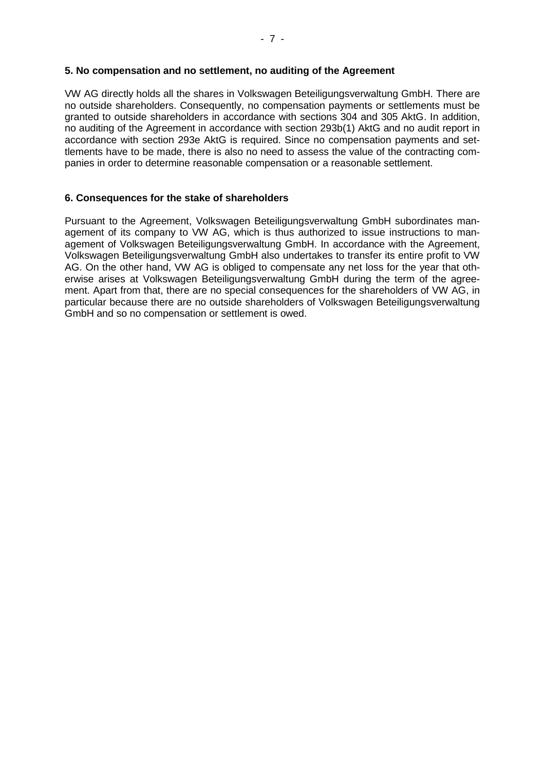#### **5. No compensation and no settlement, no auditing of the Agreement**

VW AG directly holds all the shares in Volkswagen Beteiligungsverwaltung GmbH. There are no outside shareholders. Consequently, no compensation payments or settlements must be granted to outside shareholders in accordance with sections 304 and 305 AktG. In addition, no auditing of the Agreement in accordance with section 293b(1) AktG and no audit report in accordance with section 293e AktG is required. Since no compensation payments and settlements have to be made, there is also no need to assess the value of the contracting companies in order to determine reasonable compensation or a reasonable settlement.

# **6. Consequences for the stake of shareholders**

Pursuant to the Agreement, Volkswagen Beteiligungsverwaltung GmbH subordinates management of its company to VW AG, which is thus authorized to issue instructions to management of Volkswagen Beteiligungsverwaltung GmbH. In accordance with the Agreement, Volkswagen Beteiligungsverwaltung GmbH also undertakes to transfer its entire profit to VW AG. On the other hand, VW AG is obliged to compensate any net loss for the year that otherwise arises at Volkswagen Beteiligungsverwaltung GmbH during the term of the agreement. Apart from that, there are no special consequences for the shareholders of VW AG, in particular because there are no outside shareholders of Volkswagen Beteiligungsverwaltung GmbH and so no compensation or settlement is owed.